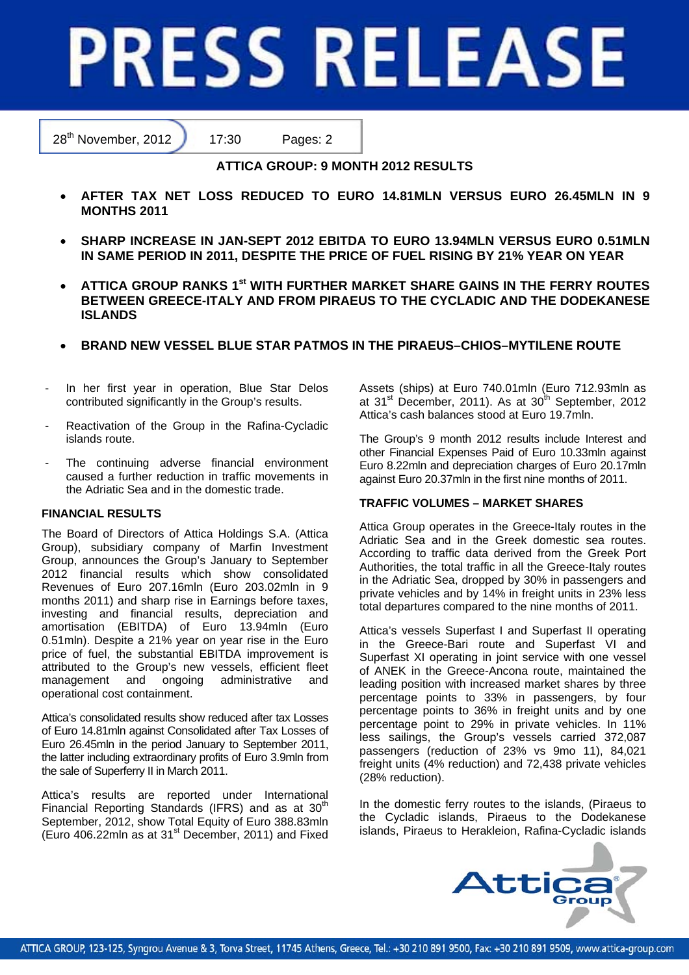# **PRESS RELEASE**

28<sup>th</sup> November, 2012 17:30 Pages: 2

**ATTICA GROUP: 9 MONTH 2012 RESULTS** 

- **AFTER TAX NET LOSS REDUCED TO EURO 14.81MLN VERSUS EURO 26.45MLN IN 9 MONTHS 2011**
- **SHARP INCREASE IN JAN-SEPT 2012 EBITDA TO EURO 13.94MLN VERSUS EURO 0.51MLN IN SAME PERIOD IN 2011, DESPITE THE PRICE OF FUEL RISING BY 21% YEAR ON YEAR**
- **ATTICA GROUP RANKS 1st WITH FURTHER MARKET SHARE GAINS IN THE FERRY ROUTES BETWEEN GREECE-ITALY AND FROM PIRAEUS TO THE CYCLADIC AND THE DODEKANESE ISLANDS**
- **BRAND NEW VESSEL BLUE STAR PATMOS IN THE PIRAEUS–CHIOS–MYTILENE ROUTE**
- In her first year in operation, Blue Star Delos contributed significantly in the Group's results.
- Reactivation of the Group in the Rafina-Cycladic islands route.
- The continuing adverse financial environment caused a further reduction in traffic movements in the Adriatic Sea and in the domestic trade.

# **FINANCIAL RESULTS**

The Board of Directors of Attica Holdings S.A. (Attica Group), subsidiary company of Marfin Investment Group, announces the Group's January to September 2012 financial results which show consolidated Revenues of Euro 207.16mln (Euro 203.02mln in 9 months 2011) and sharp rise in Earnings before taxes, investing and financial results, depreciation and amortisation (EBITDA) of Euro 13.94mln (Euro 0.51mln). Despite a 21% year on year rise in the Euro price of fuel, the substantial EBITDA improvement is attributed to the Group's new vessels, efficient fleet management and ongoing administrative and operational cost containment.

Attica's consolidated results show reduced after tax Losses of Euro 14.81mln against Consolidated after Tax Losses of Euro 26.45mln in the period January to September 2011, the latter including extraordinary profits of Euro 3.9mln from the sale of Superferry II in March 2011.

Attica's results are reported under International Financial Reporting Standards (IFRS) and as at  $30<sup>th</sup>$ September, 2012, show Total Equity of Euro 388.83mln (Euro 406.22mln as at  $31<sup>st</sup>$  December, 2011) and Fixed Assets (ships) at Euro 740.01mln (Euro 712.93mln as at  $31<sup>st</sup>$  December, 2011). As at  $30<sup>th</sup>$  September, 2012 Attica's cash balances stood at Euro 19.7mln.

The Group's 9 month 2012 results include Interest and other Financial Expenses Paid of Euro 10.33mln against Euro 8.22mln and depreciation charges of Euro 20.17mln against Euro 20.37mln in the first nine months of 2011.

# **TRAFFIC VOLUMES – MARKET SHARES**

Attica Group operates in the Greece-Italy routes in the Adriatic Sea and in the Greek domestic sea routes. According to traffic data derived from the Greek Port Authorities, the total traffic in all the Greece-Italy routes in the Adriatic Sea, dropped by 30% in passengers and private vehicles and by 14% in freight units in 23% less total departures compared to the nine months of 2011.

Attica's vessels Superfast I and Superfast II operating in the Greece-Bari route and Superfast VI and Superfast XI operating in joint service with one vessel of ANEK in the Greece-Ancona route, maintained the leading position with increased market shares by three percentage points to 33% in passengers, by four percentage points to 36% in freight units and by one percentage point to 29% in private vehicles. In 11% less sailings, the Group's vessels carried 372,087 passengers (reduction of 23% vs 9mo 11), 84,021 freight units (4% reduction) and 72,438 private vehicles (28% reduction).

In the domestic ferry routes to the islands, (Piraeus to the Cycladic islands, Piraeus to the Dodekanese islands, Piraeus to Herakleion, Rafina-Cycladic islands